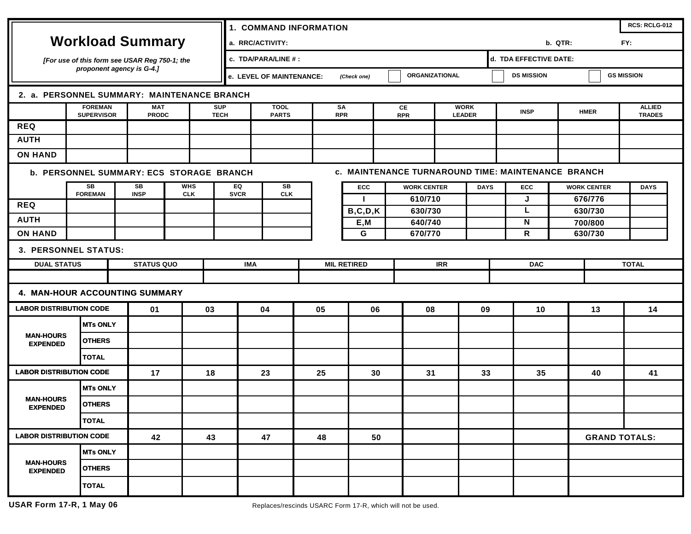| <b>Workload Summary</b>                                                                               |                                     |  |                                               |  |    | <b>1. COMMAND INFORMATION</b> |                                                                  |          |                  |                    |                  |                    |                              |                                        |                    |                        | RCS: RCLG-012 |             |                                |  |
|-------------------------------------------------------------------------------------------------------|-------------------------------------|--|-----------------------------------------------|--|----|-------------------------------|------------------------------------------------------------------|----------|------------------|--------------------|------------------|--------------------|------------------------------|----------------------------------------|--------------------|------------------------|---------------|-------------|--------------------------------|--|
|                                                                                                       |                                     |  |                                               |  |    | a. RRC/ACTIVITY:              |                                                                  |          |                  |                    |                  |                    |                              |                                        | FY:<br>b. QTR:     |                        |               |             |                                |  |
| [For use of this form see USAR Reg 750-1; the<br>proponent agency is G-4.1                            |                                     |  |                                               |  |    |                               | c. TDA/PARA/LINE # :                                             |          |                  |                    |                  |                    |                              |                                        |                    | d. TDA EFFECTIVE DATE: |               |             |                                |  |
|                                                                                                       |                                     |  |                                               |  |    |                               | <b>ORGANIZATIONAL</b><br>e. LEVEL OF MAINTENANCE:<br>(Check one) |          |                  |                    |                  |                    |                              | <b>DS MISSION</b><br><b>GS MISSION</b> |                    |                        |               |             |                                |  |
| 2. a. PERSONNEL SUMMARY: MAINTENANCE BRANCH                                                           |                                     |  |                                               |  |    |                               |                                                                  |          |                  |                    |                  |                    |                              |                                        |                    |                        |               |             |                                |  |
|                                                                                                       | <b>FOREMAN</b><br><b>SUPERVISOR</b> |  | <b>MAT</b><br><b>PRODC</b>                    |  |    | <b>SUP</b><br><b>TECH</b>     | <b>TOOL</b><br><b>PARTS</b>                                      |          | SΑ<br><b>RPR</b> |                    | CE<br><b>RPR</b> |                    | <b>WORK</b><br><b>LEADER</b> |                                        | <b>INSP</b>        |                        | <b>HMER</b>   |             | <b>ALLIED</b><br><b>TRADES</b> |  |
| <b>REQ</b>                                                                                            |                                     |  |                                               |  |    |                               |                                                                  |          |                  |                    |                  |                    |                              |                                        |                    |                        |               |             |                                |  |
| <b>AUTH</b>                                                                                           |                                     |  |                                               |  |    |                               |                                                                  |          |                  |                    |                  |                    |                              |                                        |                    |                        |               |             |                                |  |
| <b>ON HAND</b>                                                                                        |                                     |  |                                               |  |    |                               |                                                                  |          |                  |                    |                  |                    |                              |                                        |                    |                        |               |             |                                |  |
| c. MAINTENANCE TURNAROUND TIME: MAINTENANCE BRANCH<br><b>b. PERSONNEL SUMMARY: ECS STORAGE BRANCH</b> |                                     |  |                                               |  |    |                               |                                                                  |          |                  |                    |                  |                    |                              |                                        |                    |                        |               |             |                                |  |
|                                                                                                       | SB                                  |  | SB<br><b>WHS</b><br><b>INSP</b><br><b>CLK</b> |  |    | EQ<br><b>SVCR</b>             | SB<br><b>CLK</b>                                                 |          |                  | ECC                |                  | <b>WORK CENTER</b> |                              | <b>DAYS</b>                            | <b>ECC</b>         | <b>WORK CENTER</b>     |               | <b>DAYS</b> |                                |  |
| <b>REQ</b>                                                                                            | <b>FOREMAN</b>                      |  |                                               |  |    |                               |                                                                  |          |                  | Т.                 |                  | 610/710            |                              |                                        | J                  | 676/776                |               |             |                                |  |
| <b>AUTH</b>                                                                                           |                                     |  |                                               |  |    |                               |                                                                  |          | B, C, D, K       |                    | 630/730          |                    |                              | N                                      | 630/730<br>700/800 |                        |               |             |                                |  |
| <b>ON HAND</b>                                                                                        |                                     |  |                                               |  |    |                               |                                                                  | E,M<br>G |                  | 640/740<br>670/770 |                  |                    |                              | 630/730                                |                    |                        |               |             |                                |  |
| $\mathsf{R}$<br>3. PERSONNEL STATUS:                                                                  |                                     |  |                                               |  |    |                               |                                                                  |          |                  |                    |                  |                    |                              |                                        |                    |                        |               |             |                                |  |
| <b>DUAL STATUS</b><br><b>STATUS QUO</b>                                                               |                                     |  | <b>IMA</b>                                    |  |    | <b>MIL RETIRED</b>            |                                                                  |          | <b>IRR</b>       |                    |                  | <b>DAC</b>         |                              | <b>TOTAL</b>                           |                    |                        |               |             |                                |  |
|                                                                                                       |                                     |  |                                               |  |    |                               |                                                                  |          |                  |                    |                  |                    |                              |                                        |                    |                        |               |             |                                |  |
| 4. MAN-HOUR ACCOUNTING SUMMARY                                                                        |                                     |  |                                               |  |    |                               |                                                                  |          |                  |                    |                  |                    |                              |                                        |                    |                        |               |             |                                |  |
| <b>LABOR DISTRIBUTION CODE</b>                                                                        |                                     |  | 01                                            |  | 03 | 04                            |                                                                  |          | 05               | 06                 |                  | 08                 | 09                           |                                        | 10                 |                        | 13            | 14          |                                |  |
|                                                                                                       | <b>MTs ONLY</b>                     |  |                                               |  |    |                               |                                                                  |          |                  |                    |                  |                    |                              |                                        |                    |                        |               |             |                                |  |
| <b>MAN-HOURS</b><br><b>EXPENDED</b>                                                                   | <b>OTHERS</b>                       |  |                                               |  |    |                               |                                                                  |          |                  |                    |                  |                    |                              |                                        |                    |                        |               |             |                                |  |
|                                                                                                       | <b>TOTAL</b>                        |  |                                               |  |    |                               |                                                                  |          |                  |                    |                  |                    |                              |                                        |                    |                        |               |             |                                |  |
| <b>LABOR DISTRIBUTION CODE</b>                                                                        |                                     |  | 17                                            |  | 18 |                               | 23                                                               |          | 25               | 30                 |                  | 31                 | 33                           |                                        | 35                 |                        | 40            | 41          |                                |  |
|                                                                                                       | <b>MTs ONLY</b>                     |  |                                               |  |    |                               |                                                                  |          |                  |                    |                  |                    |                              |                                        |                    |                        |               |             |                                |  |
| <b>MAN-HOURS</b><br><b>EXPENDED</b>                                                                   | <b>OTHERS</b>                       |  |                                               |  |    |                               |                                                                  |          |                  |                    |                  |                    |                              |                                        |                    |                        |               |             |                                |  |
|                                                                                                       | <b>TOTAL</b>                        |  |                                               |  |    |                               |                                                                  |          |                  |                    |                  |                    |                              |                                        |                    |                        |               |             |                                |  |
| <b>LABOR DISTRIBUTION CODE</b>                                                                        |                                     |  | 42<br>43                                      |  | 47 |                               |                                                                  | 48<br>50 |                  |                    |                  |                    |                              |                                        |                    | <b>GRAND TOTALS:</b>   |               |             |                                |  |
|                                                                                                       | <b>MTs ONLY</b>                     |  |                                               |  |    |                               |                                                                  |          |                  |                    |                  |                    |                              |                                        |                    |                        |               |             |                                |  |
| <b>MAN-HOURS</b><br><b>EXPENDED</b>                                                                   | <b>OTHERS</b>                       |  |                                               |  |    |                               |                                                                  |          |                  |                    |                  |                    |                              |                                        |                    |                        |               |             |                                |  |
|                                                                                                       | <b>TOTAL</b>                        |  |                                               |  |    |                               |                                                                  |          |                  |                    |                  |                    |                              |                                        |                    |                        |               |             |                                |  |
|                                                                                                       |                                     |  |                                               |  |    |                               |                                                                  |          |                  |                    |                  |                    |                              |                                        |                    |                        |               |             |                                |  |